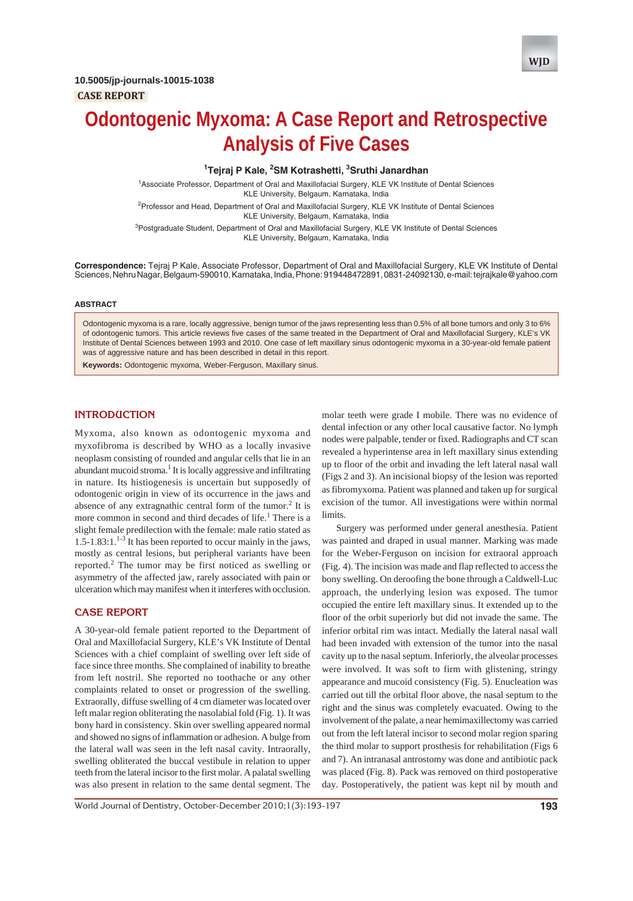

# **Odontogenic Myxoma: A Case Report and Retrospective Analysis of Five Cases**

#### <sup>1</sup>Tejraj P Kale, <sup>2</sup>SM Kotrashetti, <sup>3</sup>Sruthi Janardhan

1 Associate Professor, Department of Oral and Maxillofacial Surgery, KLE VK Institute of Dental Sciences KLE University, Belgaum, Karnataka, India <sup>2</sup> Professor and Head, Department of Oral and Maxillofacial Surgery, KLE VK Institute of Dental Sciences

KLE University, Belgaum, Karnataka, India <sup>3</sup>Postgraduate Student, Department of Oral and Maxillofacial Surgery, KLE VK Institute of Dental Sciences

KLE University, Belgaum, Karnataka, India

**Correspondence:** Tejraj P Kale, Associate Professor, Department of Oral and Maxillofacial Surgery, KLE VK Institute of Dental Sciences, Nehru Nagar, Belgaum-590010, Karnataka, India, Phone: 919448472891, 0831-24092130, e-mail: tejrajkale@yahoo.com

#### **ABSTRACT**

Odontogenic myxoma is a rare, locally aggressive, benign tumor of the jaws representing less than 0.5% of all bone tumors and only 3 to 6% of odontogenic tumors. This article reviews five cases of the same treated in the Department of Oral and Maxillofacial Surgery, KLE's VK Institute of Dental Sciences between 1993 and 2010. One case of left maxillary sinus odontogenic myxoma in a 30-year-old female patient was of aggressive nature and has been described in detail in this report.

**Keywords:** Odontogenic myxoma, Weber-Ferguson, Maxillary sinus.

### **INTRODUCTION**

Myxoma, also known as odontogenic myxoma and myxofibroma is described by WHO as a locally invasive neoplasm consisting of rounded and angular cells that lie in an abundant mucoid stroma.<sup>1</sup> It is locally aggressive and infiltrating in nature. Its histiogenesis is uncertain but supposedly of odontogenic origin in view of its occurrence in the jaws and absence of any extragnathic central form of the tumor.<sup>2</sup> It is more common in second and third decades of life.<sup>1</sup> There is a slight female predilection with the female: male ratio stated as  $1.5$ -1.83:1.<sup>1-3</sup> It has been reported to occur mainly in the jaws, mostly as central lesions, but peripheral variants have been reported.<sup>2</sup> The tumor may be first noticed as swelling or asymmetry of the affected jaw, rarely associated with pain or ulceration which may manifest when it interferes with occlusion.

#### **CASE REPORT**

A 30-year-old female patient reported to the Department of Oral and Maxillofacial Surgery, KLE's VK Institute of Dental Sciences with a chief complaint of swelling over left side of face since three months. She complained of inability to breathe from left nostril. She reported no toothache or any other complaints related to onset or progression of the swelling. Extraorally, diffuse swelling of 4 cm diameter was located over left malar region obliterating the nasolabial fold (Fig. 1). It was bony hard in consistency. Skin over swelling appeared normal and showed no signs of inflammation or adhesion. A bulge from the lateral wall was seen in the left nasal cavity. Intraorally, swelling obliterated the buccal vestibule in relation to upper teeth from the lateral incisor to the first molar. A palatal swelling was also present in relation to the same dental segment. The

molar teeth were grade I mobile. There was no evidence of dental infection or any other local causative factor. No lymph nodes were palpable, tender or fixed. Radiographs and CT scan revealed a hyperintense area in left maxillary sinus extending up to floor of the orbit and invading the left lateral nasal wall (Figs 2 and 3). An incisional biopsy of the lesion was reported as fibromyxoma. Patient was planned and taken up for surgical excision of the tumor. All investigations were within normal limits.

Surgery was performed under general anesthesia. Patient was painted and draped in usual manner. Marking was made for the Weber-Ferguson on incision for extraoral approach (Fig. 4). The incision was made and flap reflected to access the bony swelling. On deroofing the bone through a Caldwell-Luc approach, the underlying lesion was exposed. The tumor occupied the entire left maxillary sinus. It extended up to the floor of the orbit superiorly but did not invade the same. The inferior orbital rim was intact. Medially the lateral nasal wall had been invaded with extension of the tumor into the nasal cavity up to the nasal septum. Inferiorly, the alveolar processes were involved. It was soft to firm with glistening, stringy appearance and mucoid consistency (Fig. 5). Enucleation was carried out till the orbital floor above, the nasal septum to the right and the sinus was completely evacuated. Owing to the involvement of the palate, a near hemimaxillectomy was carried out from the left lateral incisor to second molar region sparing the third molar to support prosthesis for rehabilitation (Figs 6 and 7). An intranasal antrostomy was done and antibiotic pack was placed (Fig. 8). Pack was removed on third postoperative day. Postoperatively, the patient was kept nil by mouth and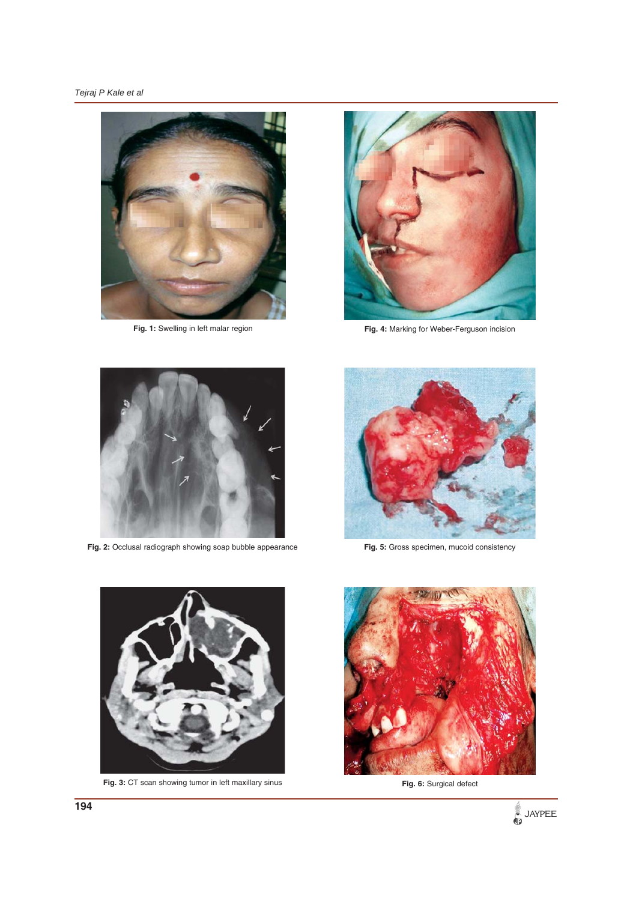



**Fig. 1:** Swelling in left malar region **Fig. 4:** Marking for Weber-Ferguson incision



**Fig. 2:** Occlusal radiograph showing soap bubble appearance **Fig. 5:** Gross specimen, mucoid consistency





**Fig. 3: CT** scan showing tumor in left maxillary sinus **Fig. 3: CT** Surgical defect



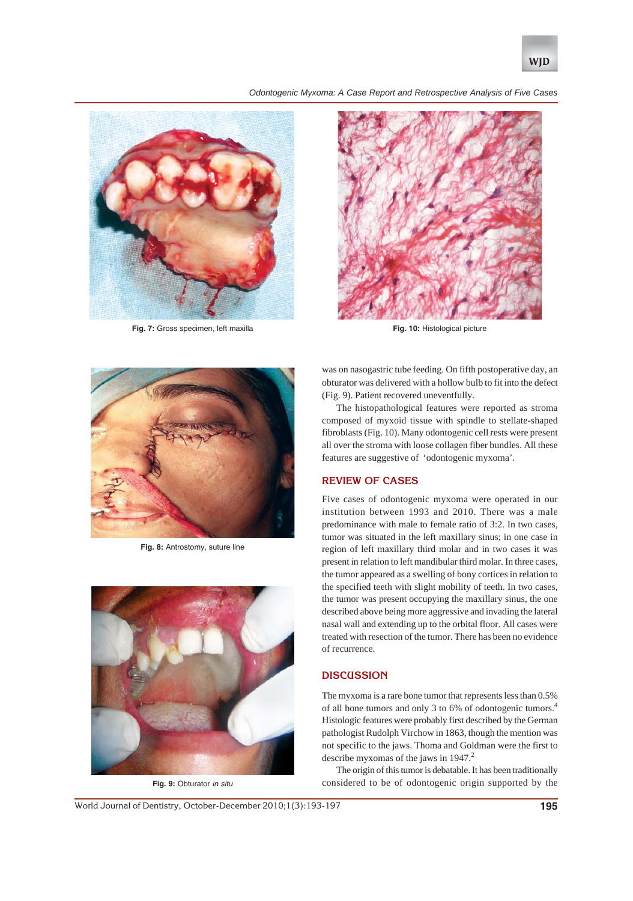

*Odontogenic Myxoma: A Case Report and Retrospective Analysis of Five Cases*



**Fig. 7:** Gross specimen, left maxilla



**Fig. 10:** Histological picture



**Fig. 8:** Antrostomy, suture line



**Fig. 9:** Obturator *in situ*

was on nasogastric tube feeding. On fifth postoperative day, an obturator was delivered with a hollow bulb to fit into the defect (Fig. 9). Patient recovered uneventfully.

The histopathological features were reported as stroma composed of myxoid tissue with spindle to stellate-shaped fibroblasts (Fig. 10). Many odontogenic cell rests were present all over the stroma with loose collagen fiber bundles. All these features are suggestive of 'odontogenic myxoma'.

## **REVIEW OF CASES**

Five cases of odontogenic myxoma were operated in our institution between 1993 and 2010. There was a male predominance with male to female ratio of 3:2. In two cases, tumor was situated in the left maxillary sinus; in one case in region of left maxillary third molar and in two cases it was present in relation to left mandibular third molar. In three cases, the tumor appeared as a swelling of bony cortices in relation to the specified teeth with slight mobility of teeth. In two cases, the tumor was present occupying the maxillary sinus, the one described above being more aggressive and invading the lateral nasal wall and extending up to the orbital floor. All cases were treated with resection of the tumor. There has been no evidence of recurrence.

## **DISCUSSION**

The myxoma is a rare bone tumor that represents less than 0.5% of all bone tumors and only 3 to 6% of odontogenic tumors.4 Histologic features were probably first described by the German pathologist Rudolph Virchow in 1863, though the mention was not specific to the jaws. Thoma and Goldman were the first to describe myxomas of the jaws in 1947.<sup>2</sup>

The origin of this tumor is debatable. It has been traditionally considered to be of odontogenic origin supported by the

World Journal of Dentistry, October-December 2010;1(3):193-197 **195**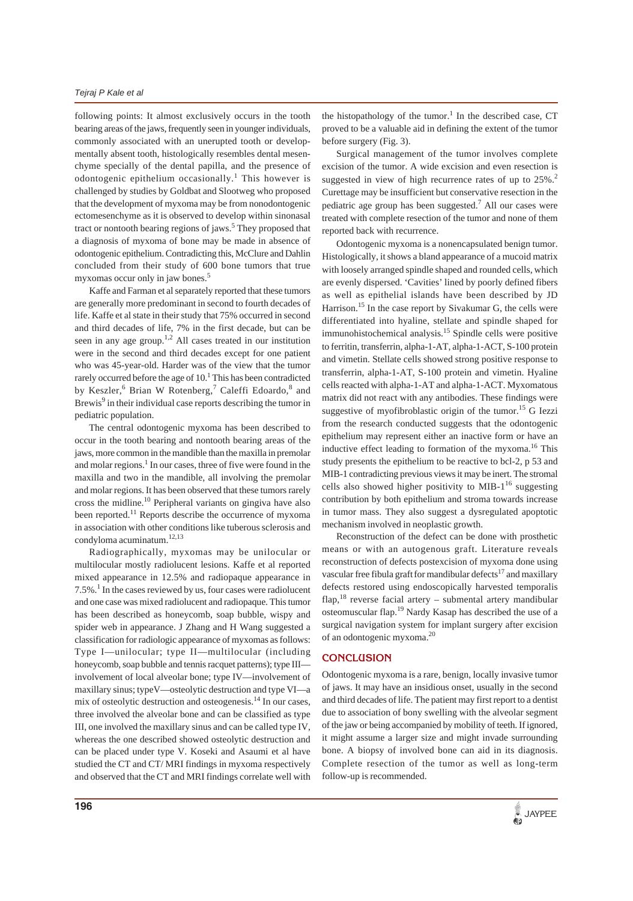following points: It almost exclusively occurs in the tooth bearing areas of the jaws, frequently seen in younger individuals, commonly associated with an unerupted tooth or developmentally absent tooth, histologically resembles dental mesenchyme specially of the dental papilla, and the presence of odontogenic epithelium occasionally.<sup>1</sup> This however is challenged by studies by Goldbat and Slootweg who proposed that the development of myxoma may be from nonodontogenic ectomesenchyme as it is observed to develop within sinonasal tract or nontooth bearing regions of jaws.<sup>5</sup> They proposed that a diagnosis of myxoma of bone may be made in absence of odontogenic epithelium. Contradicting this, McClure and Dahlin concluded from their study of 600 bone tumors that true myxomas occur only in jaw bones.<sup>5</sup>

Kaffe and Farman et al separately reported that these tumors are generally more predominant in second to fourth decades of life. Kaffe et al state in their study that 75% occurred in second and third decades of life, 7% in the first decade, but can be seen in any age group.<sup>1,2</sup> All cases treated in our institution were in the second and third decades except for one patient who was 45-year-old. Harder was of the view that the tumor rarely occurred before the age of 10.<sup>1</sup> This has been contradicted by Keszler, <sup>6</sup> Brian W Rotenberg,<sup>7</sup> Caleffi Edoardo, 8 and Brewis<sup>9</sup> in their individual case reports describing the tumor in pediatric population.

The central odontogenic myxoma has been described to occur in the tooth bearing and nontooth bearing areas of the jaws, more common in the mandible than the maxilla in premolar and molar regions.<sup>1</sup> In our cases, three of five were found in the maxilla and two in the mandible, all involving the premolar and molar regions. It has been observed that these tumors rarely cross the midline.10 Peripheral variants on gingiva have also been reported.<sup>11</sup> Reports describe the occurrence of myxoma in association with other conditions like tuberous sclerosis and condyloma acuminatum.12,13

Radiographically, myxomas may be unilocular or multilocular mostly radiolucent lesions. Kaffe et al reported mixed appearance in 12.5% and radiopaque appearance in 7.5%.<sup>1</sup> In the cases reviewed by us, four cases were radiolucent and one case was mixed radiolucent and radiopaque. This tumor has been described as honeycomb, soap bubble, wispy and spider web in appearance. J Zhang and H Wang suggested a classification for radiologic appearance of myxomas as follows: Type I—unilocular; type II—multilocular (including honeycomb, soap bubble and tennis racquet patterns); type III involvement of local alveolar bone; type IV—involvement of maxillary sinus; typeV—osteolytic destruction and type VI—a mix of osteolytic destruction and osteogenesis.<sup>14</sup> In our cases, three involved the alveolar bone and can be classified as type III, one involved the maxillary sinus and can be called type IV, whereas the one described showed osteolytic destruction and can be placed under type V. Koseki and Asaumi et al have studied the CT and CT/ MRI findings in myxoma respectively and observed that the CT and MRI findings correlate well with

the histopathology of the tumor.<sup>1</sup> In the described case, CT proved to be a valuable aid in defining the extent of the tumor before surgery (Fig. 3).

Surgical management of the tumor involves complete excision of the tumor. A wide excision and even resection is suggested in view of high recurrence rates of up to  $25\%$ .<sup>2</sup> Curettage may be insufficient but conservative resection in the pediatric age group has been suggested.<sup>7</sup> All our cases were treated with complete resection of the tumor and none of them reported back with recurrence.

Odontogenic myxoma is a nonencapsulated benign tumor. Histologically, it shows a bland appearance of a mucoid matrix with loosely arranged spindle shaped and rounded cells, which are evenly dispersed. 'Cavities' lined by poorly defined fibers as well as epithelial islands have been described by JD Harrison.<sup>15</sup> In the case report by Sivakumar G, the cells were differentiated into hyaline, stellate and spindle shaped for immunohistochemical analysis.15 Spindle cells were positive to ferritin, transferrin, alpha-1-AT, alpha-1-ACT, S-100 protein and vimetin. Stellate cells showed strong positive response to transferrin, alpha-1-AT, S-100 protein and vimetin. Hyaline cells reacted with alpha-1-AT and alpha-1-ACT. Myxomatous matrix did not react with any antibodies. These findings were suggestive of myofibroblastic origin of the tumor.<sup>15</sup> G Iezzi from the research conducted suggests that the odontogenic epithelium may represent either an inactive form or have an inductive effect leading to formation of the myxoma.<sup>16</sup> This study presents the epithelium to be reactive to bcl-2, p 53 and MIB-1 contradicting previous views it may be inert. The stromal cells also showed higher positivity to MIB- $1^{16}$  suggesting contribution by both epithelium and stroma towards increase in tumor mass. They also suggest a dysregulated apoptotic mechanism involved in neoplastic growth.

Reconstruction of the defect can be done with prosthetic means or with an autogenous graft. Literature reveals reconstruction of defects postexcision of myxoma done using vascular free fibula graft for mandibular defects<sup>17</sup> and maxillary defects restored using endoscopically harvested temporalis flap,<sup>18</sup> reverse facial artery – submental artery mandibular osteomuscular flap.19 Nardy Kasap has described the use of a surgical navigation system for implant surgery after excision of an odontogenic myxoma.20

## **CONCLUSION**

Odontogenic myxoma is a rare, benign, locally invasive tumor of jaws. It may have an insidious onset, usually in the second and third decades of life. The patient may first report to a dentist due to association of bony swelling with the alveolar segment of the jaw or being accompanied by mobility of teeth. If ignored, it might assume a larger size and might invade surrounding bone. A biopsy of involved bone can aid in its diagnosis. Complete resection of the tumor as well as long-term follow-up is recommended.